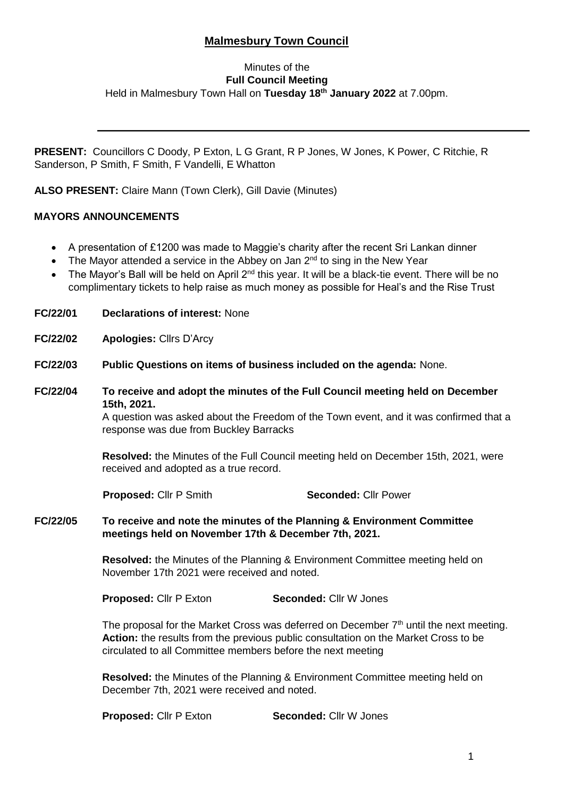# **Malmesbury Town Council**

# Minutes of the **Full Council Meeting** Held in Malmesbury Town Hall on **Tuesday 18th January 2022** at 7.00pm.

**PRESENT:** Councillors C Doody, P Exton, L G Grant, R P Jones, W Jones, K Power, C Ritchie, R Sanderson, P Smith, F Smith, F Vandelli, E Whatton

**ALSO PRESENT:** Claire Mann (Town Clerk), Gill Davie (Minutes)

# **MAYORS ANNOUNCEMENTS**

- A presentation of £1200 was made to Maggie's charity after the recent Sri Lankan dinner
- The Mayor attended a service in the Abbey on Jan 2<sup>nd</sup> to sing in the New Year
- The Mayor's Ball will be held on April 2<sup>nd</sup> this year. It will be a black-tie event. There will be no complimentary tickets to help raise as much money as possible for Heal's and the Rise Trust
- **FC/22/01 Declarations of interest:** None
- **FC/22/02 Apologies:** Cllrs D'Arcy
- **FC/22/03 Public Questions on items of business included on the agenda:** None.
- **FC/22/04 To receive and adopt the minutes of the Full Council meeting held on December 15th, 2021.**

A question was asked about the Freedom of the Town event, and it was confirmed that a response was due from Buckley Barracks

**Resolved:** the Minutes of the Full Council meeting held on December 15th, 2021, were received and adopted as a true record.

**Proposed:** Cllr P Smith **Seconded:** Cllr Power

**FC/22/05 To receive and note the minutes of the Planning & Environment Committee meetings held on November 17th & December 7th, 2021.**

> **Resolved:** the Minutes of the Planning & Environment Committee meeting held on November 17th 2021 were received and noted.

**Proposed:** Cllr P Exton **Seconded:** Cllr W Jones

The proposal for the Market Cross was deferred on December  $7<sup>th</sup>$  until the next meeting. **Action:** the results from the previous public consultation on the Market Cross to be circulated to all Committee members before the next meeting

**Resolved:** the Minutes of the Planning & Environment Committee meeting held on December 7th, 2021 were received and noted.

**Proposed:** Cllr P Exton **Seconded:** Cllr W Jones

i,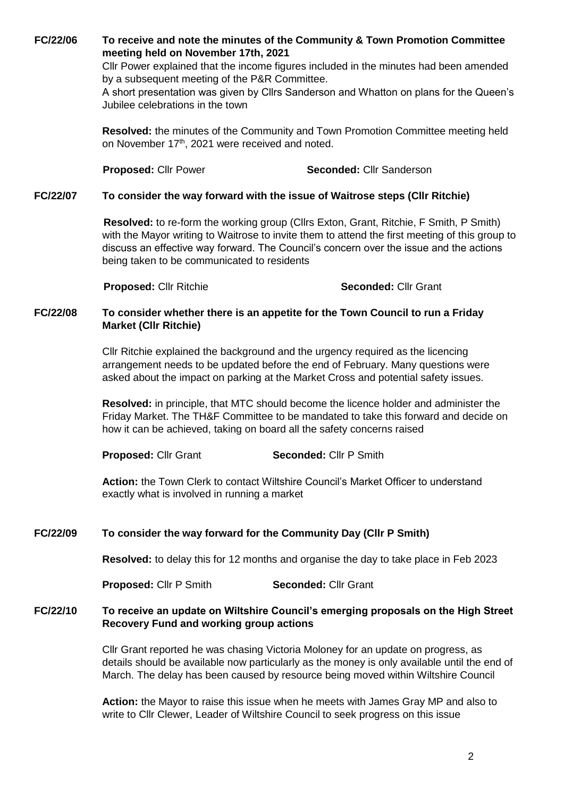**FC/22/06 To receive and note the minutes of the Community & Town Promotion Committee meeting held on November 17th, 2021**

> Cllr Power explained that the income figures included in the minutes had been amended by a subsequent meeting of the P&R Committee.

A short presentation was given by Cllrs Sanderson and Whatton on plans for the Queen's Jubilee celebrations in the town

**Resolved:** the minutes of the Community and Town Promotion Committee meeting held on November 17<sup>th</sup>, 2021 were received and noted.

**Proposed:** Cllr Power **Seconded:** Cllr Sanderson

## **FC/22/07 To consider the way forward with the issue of Waitrose steps (Cllr Ritchie)**

**Resolved:** to re-form the working group (Cllrs Exton, Grant, Ritchie, F Smith, P Smith) with the Mayor writing to Waitrose to invite them to attend the first meeting of this group to discuss an effective way forward. The Council's concern over the issue and the actions being taken to be communicated to residents

**Proposed:** Cllr Ritchie **Seconded:** Cllr Grant

## **FC/22/08 To consider whether there is an appetite for the Town Council to run a Friday Market (Cllr Ritchie)**

Cllr Ritchie explained the background and the urgency required as the licencing arrangement needs to be updated before the end of February. Many questions were asked about the impact on parking at the Market Cross and potential safety issues.

**Resolved:** in principle, that MTC should become the licence holder and administer the Friday Market. The TH&F Committee to be mandated to take this forward and decide on how it can be achieved, taking on board all the safety concerns raised

**Proposed:** Cllr Grant **Seconded:** Cllr P Smith

**Action:** the Town Clerk to contact Wiltshire Council's Market Officer to understand exactly what is involved in running a market

## **FC/22/09 To consider the way forward for the Community Day (Cllr P Smith)**

**Resolved:** to delay this for 12 months and organise the day to take place in Feb 2023

**Proposed:** Cllr P Smith **Seconded:** Cllr Grant

#### **FC/22/10 To receive an update on Wiltshire Council's emerging proposals on the High Street Recovery Fund and working group actions**

Cllr Grant reported he was chasing Victoria Moloney for an update on progress, as details should be available now particularly as the money is only available until the end of March. The delay has been caused by resource being moved within Wiltshire Council

**Action:** the Mayor to raise this issue when he meets with James Gray MP and also to write to Cllr Clewer, Leader of Wiltshire Council to seek progress on this issue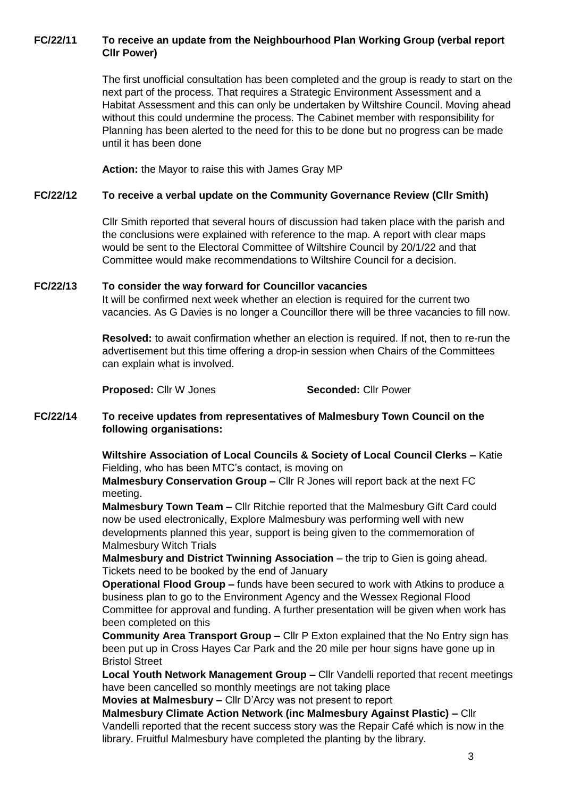# **FC/22/11 To receive an update from the Neighbourhood Plan Working Group (verbal report Cllr Power)**

The first unofficial consultation has been completed and the group is ready to start on the next part of the process. That requires a Strategic Environment Assessment and a Habitat Assessment and this can only be undertaken by Wiltshire Council. Moving ahead without this could undermine the process. The Cabinet member with responsibility for Planning has been alerted to the need for this to be done but no progress can be made until it has been done

**Action:** the Mayor to raise this with James Gray MP

## **FC/22/12 To receive a verbal update on the Community Governance Review (Cllr Smith)**

Cllr Smith reported that several hours of discussion had taken place with the parish and the conclusions were explained with reference to the map. A report with clear maps would be sent to the Electoral Committee of Wiltshire Council by 20/1/22 and that Committee would make recommendations to Wiltshire Council for a decision.

## **FC/22/13 To consider the way forward for Councillor vacancies**

It will be confirmed next week whether an election is required for the current two vacancies. As G Davies is no longer a Councillor there will be three vacancies to fill now.

**Resolved:** to await confirmation whether an election is required. If not, then to re-run the advertisement but this time offering a drop-in session when Chairs of the Committees can explain what is involved.

**Proposed:** Cllr W Jones **Seconded:** Cllr Power

## **FC/22/14 To receive updates from representatives of Malmesbury Town Council on the following organisations:**

**Wiltshire Association of Local Councils & Society of Local Council Clerks –** Katie Fielding, who has been MTC's contact, is moving on

**Malmesbury Conservation Group –** Cllr R Jones will report back at the next FC meeting.

**Malmesbury Town Team –** Cllr Ritchie reported that the Malmesbury Gift Card could now be used electronically, Explore Malmesbury was performing well with new developments planned this year, support is being given to the commemoration of Malmesbury Witch Trials

**Malmesbury and District Twinning Association** – the trip to Gien is going ahead. Tickets need to be booked by the end of January

**Operational Flood Group –** funds have been secured to work with Atkins to produce a business plan to go to the Environment Agency and the Wessex Regional Flood Committee for approval and funding. A further presentation will be given when work has been completed on this

**Community Area Transport Group –** Cllr P Exton explained that the No Entry sign has been put up in Cross Hayes Car Park and the 20 mile per hour signs have gone up in Bristol Street

**Local Youth Network Management Group –** Cllr Vandelli reported that recent meetings have been cancelled so monthly meetings are not taking place

**Movies at Malmesbury –** Cllr D'Arcy was not present to report

**Malmesbury Climate Action Network (inc Malmesbury Against Plastic) –** Cllr Vandelli reported that the recent success story was the Repair Café which is now in the library. Fruitful Malmesbury have completed the planting by the library.